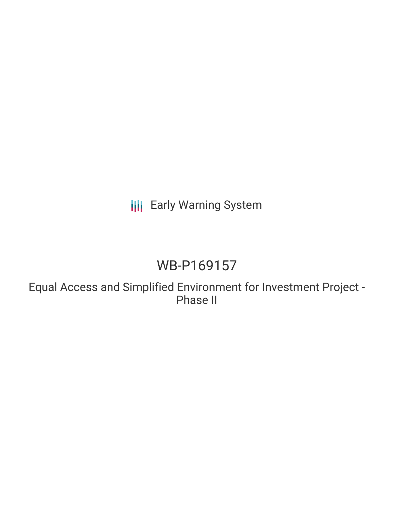## **III** Early Warning System

## WB-P169157

Equal Access and Simplified Environment for Investment Project - Phase II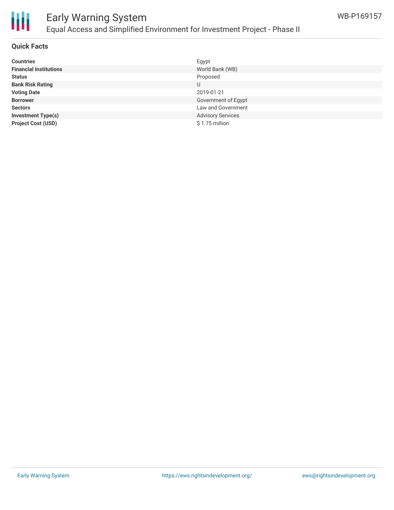

# 冊

## Early Warning System Equal Access and Simplified Environment for Investment Project - Phase II

#### **Quick Facts**

| <b>Countries</b>              | Egypt                    |
|-------------------------------|--------------------------|
| <b>Financial Institutions</b> | World Bank (WB)          |
| <b>Status</b>                 | Proposed                 |
| <b>Bank Risk Rating</b>       | U                        |
| <b>Voting Date</b>            | 2019-01-21               |
| <b>Borrower</b>               | Government of Egypt      |
| <b>Sectors</b>                | Law and Government       |
| <b>Investment Type(s)</b>     | <b>Advisory Services</b> |
| <b>Project Cost (USD)</b>     | $$1.75$ million          |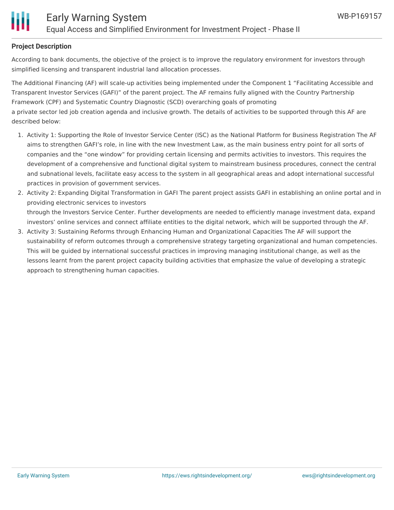

#### **Project Description**

According to bank documents, the objective of the project is to improve the regulatory environment for investors through simplified licensing and transparent industrial land allocation processes.

The Additional Financing (AF) will scale-up activities being implemented under the Component 1 "Facilitating Accessible and Transparent Investor Services (GAFI)" of the parent project. The AF remains fully aligned with the Country Partnership Framework (CPF) and Systematic Country Diagnostic (SCD) overarching goals of promoting a private sector led job creation agenda and inclusive growth. The details of activities to be supported through this AF are described below:

- 1. Activity 1: Supporting the Role of Investor Service Center (ISC) as the National Platform for Business Registration The AF aims to strengthen GAFI's role, in line with the new Investment Law, as the main business entry point for all sorts of companies and the "one window" for providing certain licensing and permits activities to investors. This requires the development of a comprehensive and functional digital system to mainstream business procedures, connect the central and subnational levels, facilitate easy access to the system in all geographical areas and adopt international successful practices in provision of government services.
- 2. Activity 2: Expanding Digital Transformation in GAFI The parent project assists GAFI in establishing an online portal and in providing electronic services to investors through the Investors Service Center. Further developments are needed to efficiently manage investment data, expand investors' online services and connect affiliate entities to the digital network, which will be supported through the AF.
- 3. Activity 3: Sustaining Reforms through Enhancing Human and Organizational Capacities The AF will support the sustainability of reform outcomes through a comprehensive strategy targeting organizational and human competencies. This will be guided by international successful practices in improving managing institutional change, as well as the lessons learnt from the parent project capacity building activities that emphasize the value of developing a strategic approach to strengthening human capacities.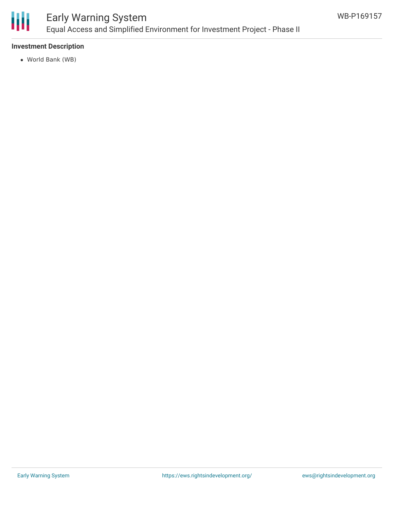

## Early Warning System Equal Access and Simplified Environment for Investment Project - Phase II

#### **Investment Description**

World Bank (WB)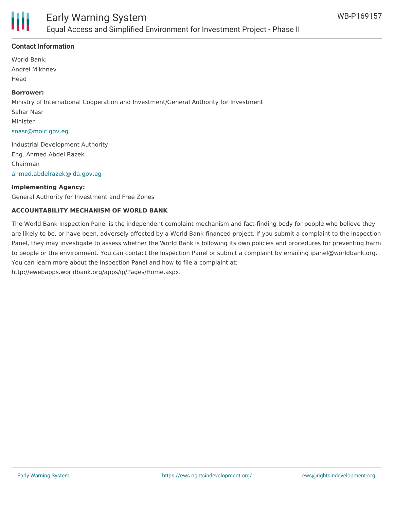

#### **Contact Information**

World Bank: Andrei Mikhnev Head

#### **Borrower:**

Ministry of International Cooperation and Investment/General Authority for Investment Sahar Nasr Minister [snasr@moic.gov.eg](mailto:snasr@moic.gov.eg)

Industrial Development Authority Eng. Ahmed Abdel Razek Chairman [ahmed.abdelrazek@ida.gov.eg](mailto:ahmed.abdelrazek@ida.gov.eg)

#### **Implementing Agency:**

General Authority for Investment and Free Zones

#### **ACCOUNTABILITY MECHANISM OF WORLD BANK**

The World Bank Inspection Panel is the independent complaint mechanism and fact-finding body for people who believe they are likely to be, or have been, adversely affected by a World Bank-financed project. If you submit a complaint to the Inspection Panel, they may investigate to assess whether the World Bank is following its own policies and procedures for preventing harm to people or the environment. You can contact the Inspection Panel or submit a complaint by emailing ipanel@worldbank.org. You can learn more about the Inspection Panel and how to file a complaint at: http://ewebapps.worldbank.org/apps/ip/Pages/Home.aspx.